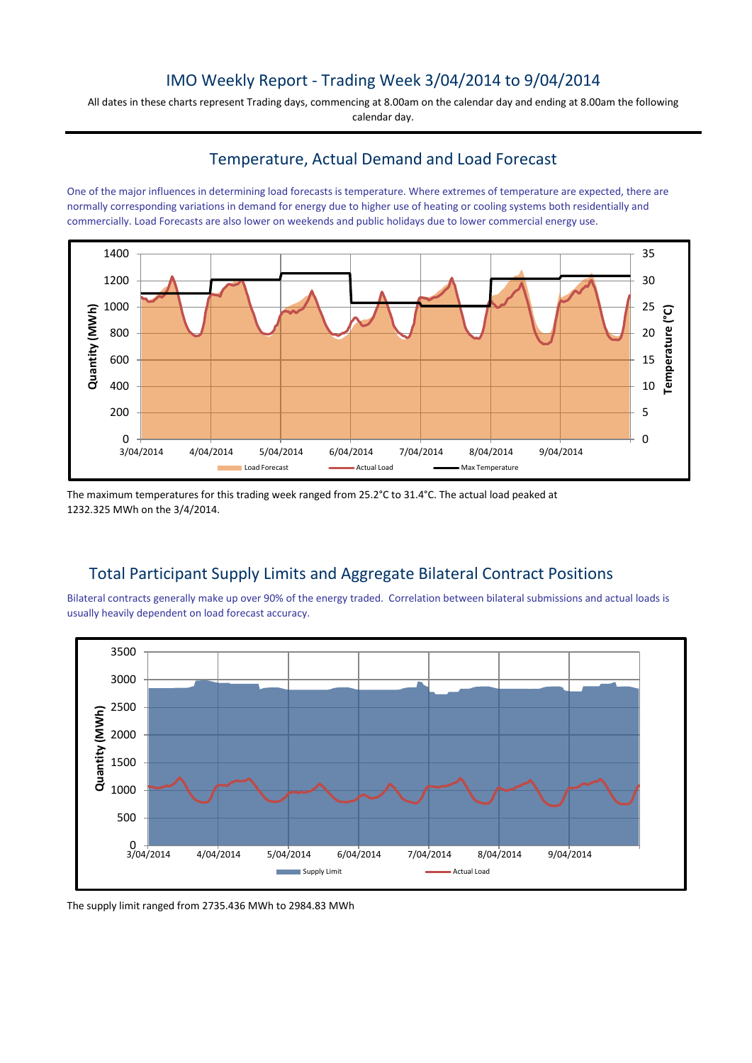## IMO Weekly Report - Trading Week 3/04/2014 to 9/04/2014

All dates in these charts represent Trading days, commencing at 8.00am on the calendar day and ending at 8.00am the following calendar day.

## Temperature, Actual Demand and Load Forecast

One of the major influences in determining load forecasts is temperature. Where extremes of temperature are expected, there are normally corresponding variations in demand for energy due to higher use of heating or cooling systems both residentially and commercially. Load Forecasts are also lower on weekends and public holidays due to lower commercial energy use.



The maximum temperatures for this trading week ranged from 25.2°C to 31.4°C. The actual load peaked at 1232.325 MWh on the 3/4/2014.

# Total Participant Supply Limits and Aggregate Bilateral Contract Positions

Bilateral contracts generally make up over 90% of the energy traded. Correlation between bilateral submissions and actual loads is usually heavily dependent on load forecast accuracy.



The supply limit ranged from 2735.436 MWh to 2984.83 MWh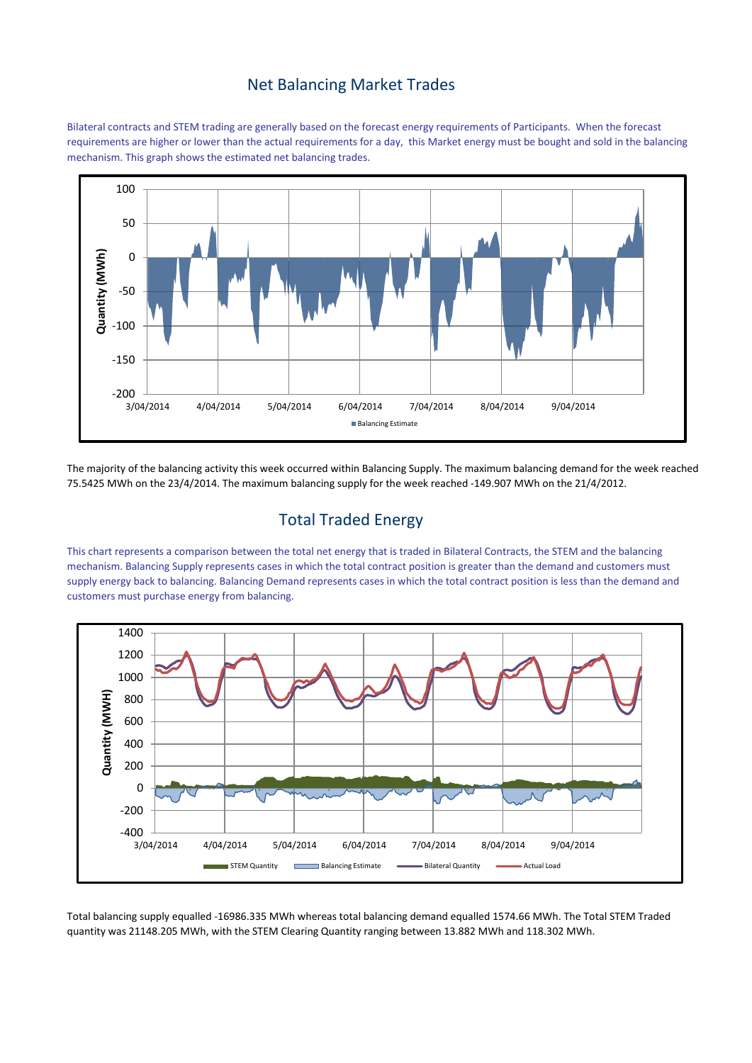#### Net Balancing Market Trades

Bilateral contracts and STEM trading are generally based on the forecast energy requirements of Participants. When the forecast requirements are higher or lower than the actual requirements for a day, this Market energy must be bought and sold in the balancing mechanism. This graph shows the estimated net balancing trades.



The majority of the balancing activity this week occurred within Balancing Supply. The maximum balancing demand for the week reached 75.5425 MWh on the 23/4/2014. The maximum balancing supply for the week reached -149.907 MWh on the 21/4/2012.

# Total Traded Energy

This chart represents a comparison between the total net energy that is traded in Bilateral Contracts, the STEM and the balancing mechanism. Balancing Supply represents cases in which the total contract position is greater than the demand and customers must supply energy back to balancing. Balancing Demand represents cases in which the total contract position is less than the demand and customers must purchase energy from balancing.



Total balancing supply equalled -16986.335 MWh whereas total balancing demand equalled 1574.66 MWh. The Total STEM Traded quantity was 21148.205 MWh, with the STEM Clearing Quantity ranging between 13.882 MWh and 118.302 MWh.